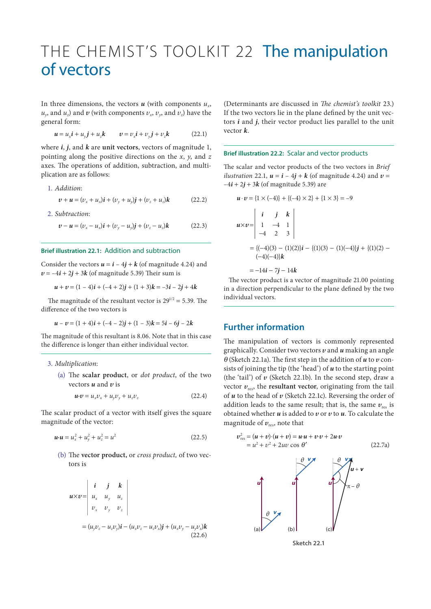# THE CHEMIST'S TOOLKIT 22 The manipulation of vectors

In three dimensions, the vectors  $\boldsymbol{u}$  (with components  $u_{\boldsymbol{v}}$ ,  $u_y$ , and  $u_z$ ) and  $v$  (with components  $v_x$ ,  $v_y$ , and  $v_z$ ) have the general form:

$$
\boldsymbol{u} = u_x \boldsymbol{i} + u_y \boldsymbol{j} + u_z \boldsymbol{k} \qquad \boldsymbol{v} = v_x \boldsymbol{i} + v_y \boldsymbol{j} + v_z \boldsymbol{k} \tag{22.1}
$$

where *i*, *j*, and *k* are **unit vectors**, vectors of magnitude 1, pointing along the positive directions on the *x*, *y*, and *z* axes. The operations of addition, subtraction, and multiplication are as follows:

1. *Addition*:

$$
v + u = (v_x + u_x)\mathbf{i} + (v_y + u_y)\mathbf{j} + (v_z + u_z)\mathbf{k}
$$
 (22.2)

2. *Subtraction*:

 $v - u = (v_x - u_x)i + (v_y - u_y)j + (v_z - u_z)k$  (22.3)

### **Brief illustration 22.1:** Addition and subtraction

Consider the vectors  $u = i - 4j + k$  (of magnitude 4.24) and  $v = -4i + 2j + 3k$  (of magnitude 5.39) Their sum is

$$
u + v = (1 - 4)i + (-4 + 2)j + (1 + 3)k = -3i - 2j + 4k
$$

The magnitude of the resultant vector is  $29^{1/2} = 5.39$ . The difference of the two vectors is

$$
u - v = (1 + 4)i + (-4 - 2)j + (1 - 3)k = 5i - 6j - 2k
$$

The magnitude of this resultant is 8.06. Note that in this case the difference is longer than either individual vector.

#### 3. *Multiplication*:

(a) The **scalar product**, or *dot product*, of the two vectors *u* and *v* is

$$
\mathbf{u} \cdot \mathbf{v} = u_x v_x + u_y v_y + u_z v_z \tag{22.4}
$$

The scalar product of a vector with itself gives the square magnitude of the vector:

$$
u \cdot u = u_x^2 + u_y^2 + u_z^2 = u^2 \tag{22.5}
$$

(b) The **vector product,** or *cross product,* of two vectors is

$$
\mathbf{u} \times \mathbf{v} = \begin{vmatrix} \mathbf{i} & \mathbf{j} & \mathbf{k} \\ u_x & u_y & u_z \\ v_x & v_y & v_z \end{vmatrix}
$$
  
=  $(u_y v_z - u_z v_y) \mathbf{i} - (u_x v_z - u_z v_x) \mathbf{j} + (u_x v_y - u_y v_x) \mathbf{k}$  (22.6)

(Determinants are discussed in *The chemist's toolkit* 23.) If the two vectors lie in the plane defined by the unit vectors *i* and *j*, their vector product lies parallel to the unit vector *k*.

#### **Brief illustration 22.2:** Scalar and vector products

The scalar and vector products of the two vectors in *Brief ilustration* 22.1,  $u = i - 4j + k$  (of magnitude 4.24) and  $v =$  $-4\mathbf{i} + 2\mathbf{j} + 3\mathbf{k}$  (of magnitude 5.39) are

$$
\mathbf{u} \cdot \mathbf{v} = \{1 \times (-4)\} + \{(-4) \times 2\} + \{1 \times 3\} = -9
$$
  

$$
\mathbf{u} \times \mathbf{v} = \begin{vmatrix} \mathbf{i} & \mathbf{j} & \mathbf{k} \\ 1 & -4 & 1 \\ -4 & 2 & 3 \end{vmatrix}
$$
  

$$
= \{(-4)(3) - (1)(2)\mathbf{i} - \{(1)(3) - (1)(-4)\mathbf{j} + \{(1)(2) - (-4)(-4)\mathbf{k}\}\mathbf{k}\}
$$

 $=-14i - 7j - 14k$ 

The vector product is a vector of magnitude 21.00 pointing in a direction perpendicular to the plane defined by the two individual vectors.

## **Further information**

The manipulation of vectors is commonly represented graphically. Consider two vectors *v* and *u* making an angle  $\theta$  (Sketch 22.1a). The first step in the addition of  $\boldsymbol{u}$  to  $\boldsymbol{v}$  consists of joining the tip (the 'head') of *u* to the starting point (the 'tail') of  $\nu$  (Sketch 22.1b). In the second step, draw a vector  $v_{res}$ , the **resultant vector**, originating from the tail of *u* to the head of *v* (Sketch 22.1c). Reversing the order of addition leads to the same result; that is, the same  $v_{res}$  is obtained whether *u* is added to *v* or *v* to *u*. To calculate the magnitude of  $v_{\text{res}}$ , note that

$$
v_{res}^{2} = (u + v) \cdot (u + v) = u \cdot u + v \cdot v + 2u \cdot v
$$
  
\n
$$
= u^{2} + v^{2} + 2uv \cos \theta'
$$
\n(22.7a)  
\n
$$
\theta \vee \theta
$$
\n
$$
\theta \vee \theta
$$
\n(a)  
\n(b)  
\n
$$
\theta
$$
\n(b)  
\n(c)

**Sketch 22.1**